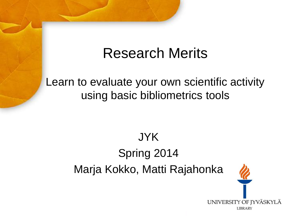# Research Merits

Learn to evaluate your own scientific activity using basic bibliometrics tools

# JYK Spring 2014 Marja Kokko, Matti Rajahonka

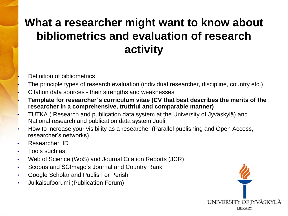# **What a researcher might want to know about bibliometrics and evaluation of research activity**

• Definition of bibliometrics

- The principle types of research evaluation (individual researcher, discipline, country etc.)
- Citation data sources their strengths and weaknesses
- **Template for researcher´s curriculum vitae (CV that best describes the merits of the researcher in a comprehensive, truthful and comparable manner)**
- TUTKA ( Research and publication data system at the University of Jyväskylä) and National research and publication data system Juuli
- How to increase your visibility as a researcher (Parallel publishing and Open Access, researcher's networks)
- Researcher ID
- Tools such as:
- Web of Science (WoS) and Journal Citation Reports (JCR)
- Scopus and SCImago's Journal and Country Rank
- Google Scholar and Publish or Perish
- Julkaisufoorumi (Publication Forum)

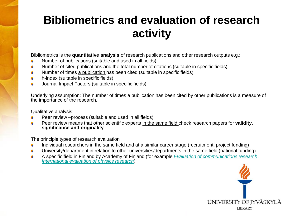### **Bibliometrics and evaluation of research activity**

Bibliometrics is the **quantitative analysis** of research publications and other research outputs e.g.:

- Number of publications (suitable and used in all fields)
- Number of cited publications and the total number of citations (suitable in specific fields) Ĥ
- Number of times a publication has been cited (suitable in specific fields) G
- h-index (suitable in specific fields) G
- Journal Impact Factors (suitable in specific fields) û

Underlying assumption: The number of times a publication has been cited by other publications is a measure of the importance of the research.

Qualitative analysis:

- Peer review –process (suitable and used in all fields)
- Peer review means that other scientific experts in the same field check research papers for **validity,**  Ĥ **significance and originality**.

The principle types of research evaluation

- Individual researchers in the same field and at a similar career stage (recruitment, project funding) **G**
- University/department in relation to other universities/departments in the same field (national funding) G
- A specific field in Finla[nd](http://www.aka.fi/en-GB/A/Decisions-and-impacts/Discipline-evaluations/International-evaluation-of-physics-research/) by Acad[e](http://www.aka.fi/en-GB/A/Decisions-and-impacts/Discipline-evaluations/International-evaluation-of-physics-research/)my of Finland (for example *[Evaluation of communications](http://www.aka.fi/en-GB/A/Decisions-and-impacts/Discipline-evaluations/Evaluation-of-communications-research/) [research](http://www.aka.fi/en-GB/A/Decisions-and-impacts/Discipline-evaluations/Evaluation-of-communications-research/)*, G *[International evaluation](http://www.aka.fi/en-GB/A/Decisions-and-impacts/Discipline-evaluations/International-evaluation-of-physics-research/) [of physics](http://www.aka.fi/en-GB/A/Decisions-and-impacts/Discipline-evaluations/International-evaluation-of-physics-research/) [research](http://www.aka.fi/en-GB/A/Decisions-and-impacts/Discipline-evaluations/International-evaluation-of-physics-research/)*)

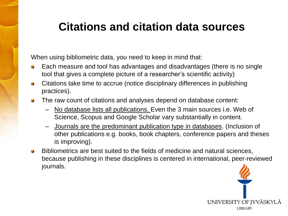#### **Citations and citation data sources**

When using bibliometric data, you need to keep in mind that:

- Each measure and tool has advantages and disadvantages (there is no single tool that gives a complete picture of a researcher's scientific activity)
- Citations take time to accrue (notice disciplinary differences in publishing **R** practices).
- The raw count of citations and analyses depend on database content:
	- No database lists all publications. Even the 3 main sources i.e. Web of Science, Scopus and Google Scholar vary substantially in content.
	- Journals are the predominant publication type in databases. (Inclusion of other publications e.g. books, book chapters, conference papers and theses is improving).
- Bibliometrics are best suited to the fields of medicine and natural sciences,  $\mathbf{r}$ because publishing in these disciplines is centered in international, peer-reviewed journals.

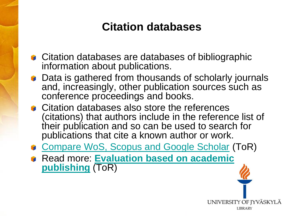#### **Citation databases**

- **Citation databases are databases of bibliographic** information about publications.
- **Data is gathered from thousands of scholarly journals** and, increasingly, other publication sources such as conference proceedings and books.
- **Citation databases also store the references** (citations) that authors include in the reference list of their publication and so can be used to search for publications that cite a known author or work.
- **[Compare WoS, Scopus and Google Scholar](https://wiki.oulu.fi/display/tor/1.1.2.3.1+Citation+analysis+and+Citation+enhanced+databases) (ToR)**
- Read more: **[Evaluation based on academic](https://wiki.oulu.fi/display/tor/1.3.1+Evaluation+based+on+academic+publishing)  [publishing](https://wiki.oulu.fi/display/tor/1.3.1+Evaluation+based+on+academic+publishing)** (ToR)

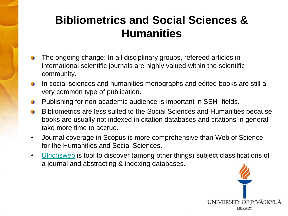## **Bibliometrics and Social Sciences & Humanities**

- The ongoing change: In all disciplinary groups, refereed articles in international scientific journals are highly valued within the scientific community.
- In social sciences and humanities monographs and edited books are still a very common type of publication.
- Publishing for non-academic audience is important in SSH -fields.
- Bibliometrics are less suited to the Social Sciences and Humanities because **Tale** books are usually not indexed in citation databases and citations in general take more time to accrue.
- Journal coverage in Scopus is more comprehensive than Web of Science for the Humanities and Social Sciences.
- [Ulrichsweb](https://jyu.finna.fi/Record/metalib_jyu.FIN38897) is tool to discover (among other things) subject classifications of a journal and abstracting & indexing databases.

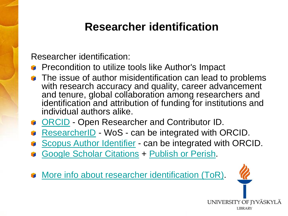#### **Researcher identification**

Researcher identification:

- **Precondition to utilize tools like Author's Impact**
- The issue of author misidentification can lead to problems with research accuracy and quality, career advancement and tenure, global collaboration among researchers and identification and attribution of funding for institutions and individual authors alike.
- **[ORCID](http://www.orcid.org/) Open Researcher and Contributor ID.**
- [ResearcherID](http://www.researcherid.com/Home.action?SrcApp=CR&returnCode=ROUTER.Success&SID=S2p3gLIHpJ6HjLiBiMl) WoS can be integrated with ORCID.
- [Scopus Author Identifier](http://help.scopus.com/flare/schelp_Left.htmCSHID=h_autsrch_intro.htm|StartTopic=Content%2Fh_autsrch_intro.htm|SkinName=svs_SC) can be integrated with ORCID.
- [Google Scholar](https://accounts.google.com/ServiceLogin?service=citations&continue=http://scholar.google.com/citations) [Citations](https://accounts.google.com/ServiceLogin?service=citations&continue=http://scholar.google.com/citations) + [Publish or Perish](http://www.harzing.com/pop.htm).
- [More info about researcher identification \(ToR\).](https://wiki.oulu.fi/display/tor/Researcher+profiles)

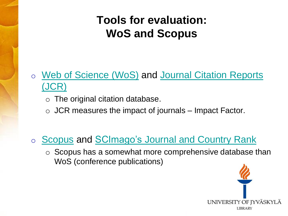### **Tools for evaluation: WoS and Scopus**

#### o [Web of Science \(WoS\)](https://jyu.finna.fi/Record/metalib_jyu.FIN06189) and [Journal Citation](https://jyu.finna.fi/Record/metalib_jyu.FIN05786) [Reports](https://jyu.finna.fi/Record/metalib_jyu.FIN05786) [\(JCR\)](https://jyu.finna.fi/Record/metalib_jyu.FIN05786)

- o The original citation database.
- $\circ$  JCR measures the impact of journals Impact Factor.
- o [Scopus](https://jyu.finna.fi/Record/metalib_jyu.FIN39403) and [SCImago's](http://www.scimagojr.com/index.php) [Journal and Country Rank](http://www.scimagojr.com/index.php)
	- o Scopus has a somewhat more comprehensive database than WoS (conference publications)

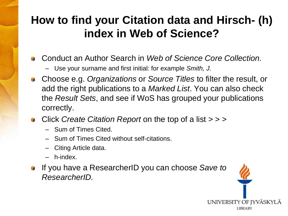### **How to find your Citation data and Hirsch- (h) index in Web of Science?**

- Conduct an Author Search in *Web of Science Core Collection.*
	- Use your surname and first initial: for example *Smith, J.*
- Choose e.g. *Organizations* or *Source Titles* to filter the result, or add the right publications to a *Marked List*. You can also check the *Result Sets*, and see if WoS has grouped your publications correctly.
- Click *Create Citation Report* on the top of a list > > >
	- Sum of Times Cited.
	- Sum of Times Cited without self-citations.
	- Citing Article data.
	- h-index.
- If you have a ResearcherID you can choose *Save to ResearcherID.*

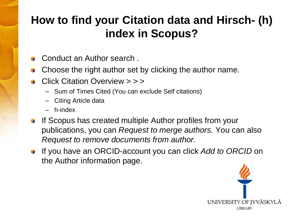# **How to find your Citation data and Hirsch- (h) index in Scopus?**

- Conduct an Author search .
- Choose the right author set by clicking the author name.
- Click Citation Overview > > >
	- Sum of Times Cited (You can exclude Self citations)
	- Citing Article data
	- h-index
- If Scopus has created multiple Author profiles from your publications, you can *Request to merge authors.* You can also *Request to remove documents from author.*
- If you have an ORCID-account you can click *Add to ORCID* on the Author information page.

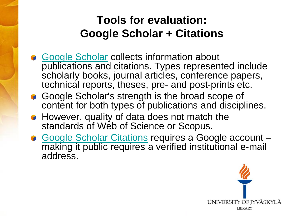### **Tools for evaluation: Google Scholar + Citations**

- [Google Scholar](http://scholar.google.fi/) collects information about publications and citations. Types represented include scholarly books, journal articles, conference papers, technical reports, theses, pre- and post-prints etc.
- Google Scholar's strength is the broad scope of content for both types of publications and disciplines.
- **However, quality of data does not match the** standards of Web of Science or Scopus.
- [Google Scholar Citations](https://accounts.google.com/ServiceLogin?service=citations&continue=http://scholar.google.com/citations) requires a Google account making it public requires a verified institutional e-mail address.

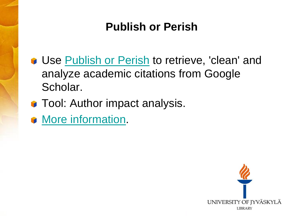### **Publish or Perish**

- **Use [Publish or Perish](http://www.harzing.com/pop.htm) to retrieve, 'clean' and** analyze academic citations from Google Scholar.
- **Tool: Author impact analysis.**
- **[More](http://www.slideshare.net/Charlies1000/citation-analysis-from-publication-to-impact) [information.](http://www.slideshare.net/Charlies1000/citation-analysis-from-publication-to-impact)**

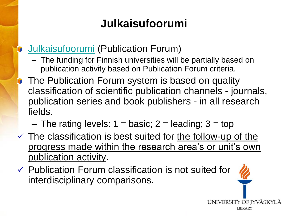# **Julkaisufoorumi**

#### [Julkaisufoorumi](http://www.tsv.fi/julkaisufoorumi/english.html?lang=en) (Publication Forum)

- The funding for Finnish universities will be partially based on publication activity based on Publication Forum criteria.
- The Publication Forum system is based on quality classification of scientific publication channels - journals, publication series and book publishers - in all research fields.
	- The rating levels:  $1 = \text{basic}$ ;  $2 = \text{leading}$ ;  $3 = \text{top}$
- $\checkmark$  The classification is best suited for the follow-up of the progress made within the research area's or unit's own publication activity.
- $\checkmark$  Publication Forum classification is not suited for interdisciplinary comparisons.

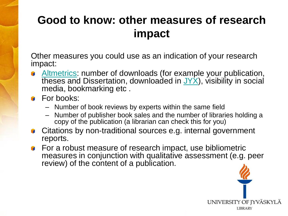### **Good to know: other measures of research impact**

Other measures you could use as an indication of your research impact:

- [Altmetrics](http://en.wikipedia.org/wiki/Altmetrics): number of downloads (for example your publication, theses and Dissertation, downloaded in  $J'X$ ), visibility in social media, bookmarking etc .
- **For books:** 
	- Number of book reviews by experts within the same field
	- Number of publisher book sales and the number of libraries holding a copy of the publication (a librarian can check this for you)
- Citations by non-traditional sources e.g. internal government reports.
- **For a robust measure of research impact, use bibliometric** measures in conjunction with qualitative assessment (e.g. peer review) of the content of a publication.

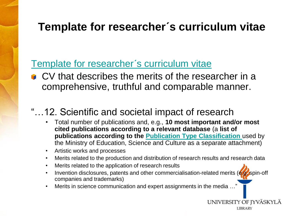#### **Template for researcher´s curriculum vitae**

#### [Template for researcher](http://www.tenk.fi/en/template-researchers-curriculum-vitae)'s curriculum vitae

**CV** that describes the merits of the researcher in a comprehensive, truthful and comparable manner.

#### "…12. Scientific and societal impact of research

- Total number of publications and, e.g., **10 most important and/or most cited publications according to a relevant database** (a **list of publications according to the [Publication Type Classification](http://www.aka.fi/Tiedostot/Tiedostot/Liitetiedostot/OKM_julkaisutyyppiluettelo_2010_en.pdf)** used by the Ministry of Education, Science and Culture as a separate attachment)
- Artistic works and processes
- Merits related to the production and distribution of research results and research data
- Merits related to the application of research results
- Invention disclosures, patents and other commercialisation-related merits (e.g. spin-off companies and trademarks)

UNIVERSITY OF JYVÄSKYLÄ **LIBRARY** 

Merits in science communication and expert assignments in the media ...'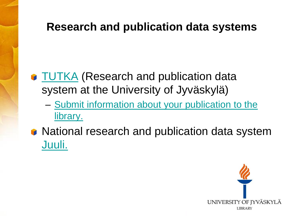#### **Research and publication data systems**

- **[TUTKA](http://tutka.jyu.fi/tutka/?message=Language is now English.) (Research and publication data** system at the University of Jyväskylä)
	- [Submit information about your publication to the](https://kirjasto.jyu.fi/publish-and-buy/publishing-forms/submit-your-publication)  [library.](https://kirjasto.jyu.fi/publish-and-buy/publishing-forms/submit-your-publication)
- **National research and publication data system** [Juuli.](http://www.juuli.fi/?&lng=en)